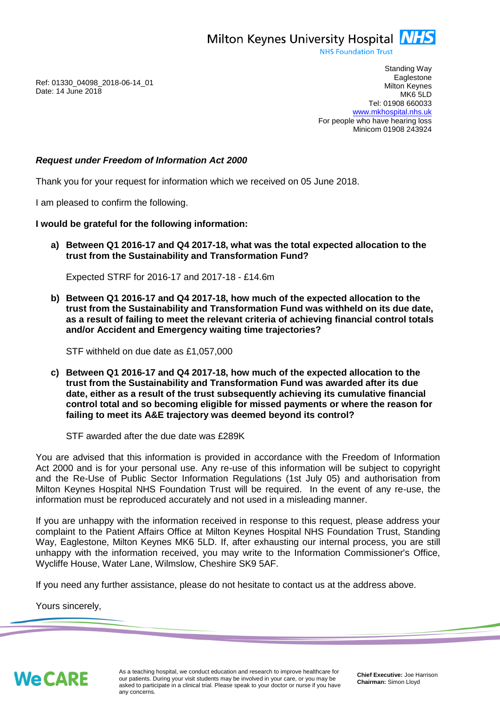Milton Keynes University Hospital **NHS** 

**NHS Foundation Trust** 

Ref: 01330\_04098\_2018-06-14\_01 Date: 14 June 2018

Standing Way **Eaglestone** Milton Keynes MK6 5LD Tel: 01908 660033 [www.mkhospital.nhs.uk](http://www.mkhospital.nhs.uk/) For people who have hearing loss Minicom 01908 243924

## *Request under Freedom of Information Act 2000*

Thank you for your request for information which we received on 05 June 2018.

I am pleased to confirm the following.

## **I would be grateful for the following information:**

**a) Between Q1 2016-17 and Q4 2017-18, what was the total expected allocation to the trust from the Sustainability and Transformation Fund?**

Expected STRF for 2016-17 and 2017-18 - £14.6m

**b) Between Q1 2016-17 and Q4 2017-18, how much of the expected allocation to the trust from the Sustainability and Transformation Fund was withheld on its due date, as a result of failing to meet the relevant criteria of achieving financial control totals and/or Accident and Emergency waiting time trajectories?**

STF withheld on due date as £1,057,000

**c) Between Q1 2016-17 and Q4 2017-18, how much of the expected allocation to the trust from the Sustainability and Transformation Fund was awarded after its due date, either as a result of the trust subsequently achieving its cumulative financial control total and so becoming eligible for missed payments or where the reason for failing to meet its A&E trajectory was deemed beyond its control?**

STF awarded after the due date was £289K

You are advised that this information is provided in accordance with the Freedom of Information Act 2000 and is for your personal use. Any re-use of this information will be subject to copyright and the Re-Use of Public Sector Information Regulations (1st July 05) and authorisation from Milton Keynes Hospital NHS Foundation Trust will be required. In the event of any re-use, the information must be reproduced accurately and not used in a misleading manner.

If you are unhappy with the information received in response to this request, please address your complaint to the Patient Affairs Office at Milton Keynes Hospital NHS Foundation Trust, Standing Way, Eaglestone, Milton Keynes MK6 5LD. If, after exhausting our internal process, you are still unhappy with the information received, you may write to the Information Commissioner's Office, Wycliffe House, Water Lane, Wilmslow, Cheshire SK9 5AF.

If you need any further assistance, please do not hesitate to contact us at the address above.

Yours sincerely,